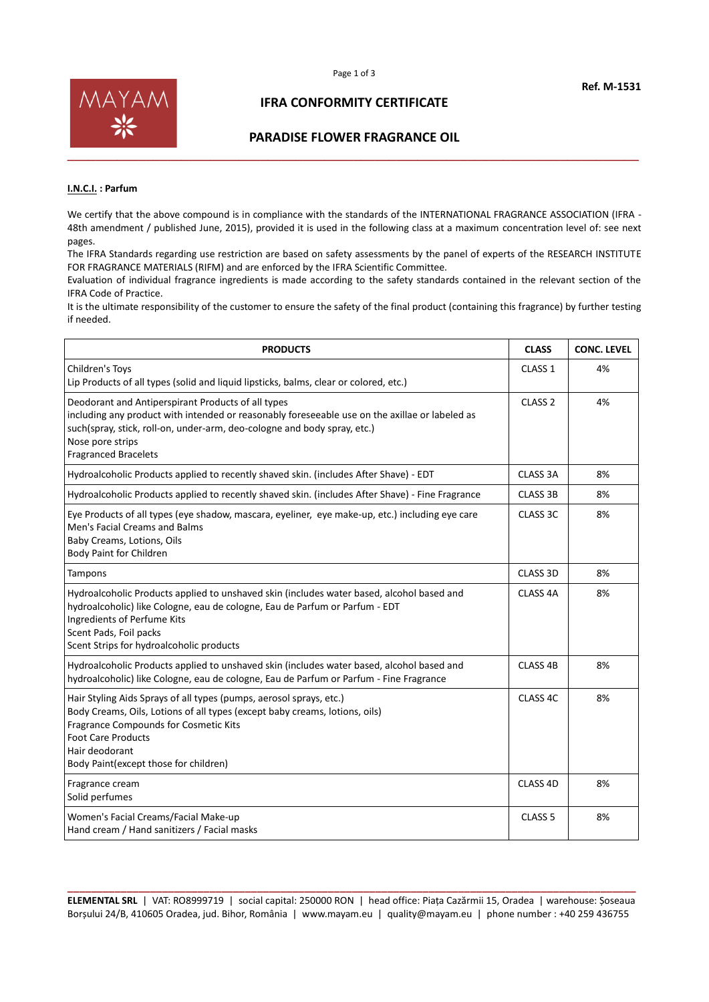

## **IFRA CONFORMITY CERTIFICATE**

### **PARADISE FLOWER FRAGRANCE OIL**

#### **I.N.C.I. : Parfum**

We certify that the above compound is in compliance with the standards of the INTERNATIONAL FRAGRANCE ASSOCIATION (IFRA -48th amendment / published June, 2015), provided it is used in the following class at a maximum concentration level of: see next pages.

The IFRA Standards regarding use restriction are based on safety assessments by the panel of experts of the RESEARCH INSTITUTE FOR FRAGRANCE MATERIALS (RIFM) and are enforced by the IFRA Scientific Committee.

Evaluation of individual fragrance ingredients is made according to the safety standards contained in the relevant section of the IFRA Code of Practice.

It is the ultimate responsibility of the customer to ensure the safety of the final product (containing this fragrance) by further testing if needed.

| <b>PRODUCTS</b>                                                                                                                                                                                                                                                                     | <b>CLASS</b>        | <b>CONC. LEVEL</b> |
|-------------------------------------------------------------------------------------------------------------------------------------------------------------------------------------------------------------------------------------------------------------------------------------|---------------------|--------------------|
| Children's Toys<br>Lip Products of all types (solid and liquid lipsticks, balms, clear or colored, etc.)                                                                                                                                                                            | CLASS <sub>1</sub>  | 4%                 |
| Deodorant and Antiperspirant Products of all types<br>including any product with intended or reasonably foreseeable use on the axillae or labeled as<br>such(spray, stick, roll-on, under-arm, deo-cologne and body spray, etc.)<br>Nose pore strips<br><b>Fragranced Bracelets</b> | CLASS <sub>2</sub>  | 4%                 |
| Hydroalcoholic Products applied to recently shaved skin. (includes After Shave) - EDT                                                                                                                                                                                               | CLASS 3A            | 8%                 |
| Hydroalcoholic Products applied to recently shaved skin. (includes After Shave) - Fine Fragrance                                                                                                                                                                                    | <b>CLASS 3B</b>     | 8%                 |
| Eye Products of all types (eye shadow, mascara, eyeliner, eye make-up, etc.) including eye care<br>Men's Facial Creams and Balms<br>Baby Creams, Lotions, Oils<br><b>Body Paint for Children</b>                                                                                    | CLASS 3C            | 8%                 |
| Tampons                                                                                                                                                                                                                                                                             | CLASS 3D            | 8%                 |
| Hydroalcoholic Products applied to unshaved skin (includes water based, alcohol based and<br>hydroalcoholic) like Cologne, eau de cologne, Eau de Parfum or Parfum - EDT<br>Ingredients of Perfume Kits<br>Scent Pads, Foil packs<br>Scent Strips for hydroalcoholic products       | CLASS <sub>4A</sub> | 8%                 |
| Hydroalcoholic Products applied to unshaved skin (includes water based, alcohol based and<br>hydroalcoholic) like Cologne, eau de cologne, Eau de Parfum or Parfum - Fine Fragrance                                                                                                 | CLASS <sub>4B</sub> | 8%                 |
| Hair Styling Aids Sprays of all types (pumps, aerosol sprays, etc.)<br>Body Creams, Oils, Lotions of all types (except baby creams, lotions, oils)<br>Fragrance Compounds for Cosmetic Kits<br><b>Foot Care Products</b><br>Hair deodorant<br>Body Paint(except those for children) | CLASS 4C            | 8%                 |
| Fragrance cream<br>Solid perfumes                                                                                                                                                                                                                                                   | CLASS 4D            | 8%                 |
| Women's Facial Creams/Facial Make-up<br>Hand cream / Hand sanitizers / Facial masks                                                                                                                                                                                                 | CLASS <sub>5</sub>  | 8%                 |

**\_\_\_\_\_\_\_\_\_\_\_\_\_\_\_\_\_\_\_\_\_\_\_\_\_\_\_\_\_\_\_\_\_\_\_\_\_\_\_\_\_\_\_\_\_\_\_\_\_\_\_\_\_\_\_\_\_\_\_\_\_\_\_\_\_\_\_\_\_\_\_\_\_\_\_\_\_\_\_\_\_\_\_\_\_\_\_\_\_\_\_\_\_\_\_\_ ELEMENTAL SRL** | VAT: RO8999719 | social capital: 250000 RON | head office: Piața Cazărmii 15, Oradea | warehouse: Șoseaua Borșului 24/B, 410605 Oradea, jud. Bihor, România | www.mayam.eu | quality@mayam.eu | phone number : +40 259 436755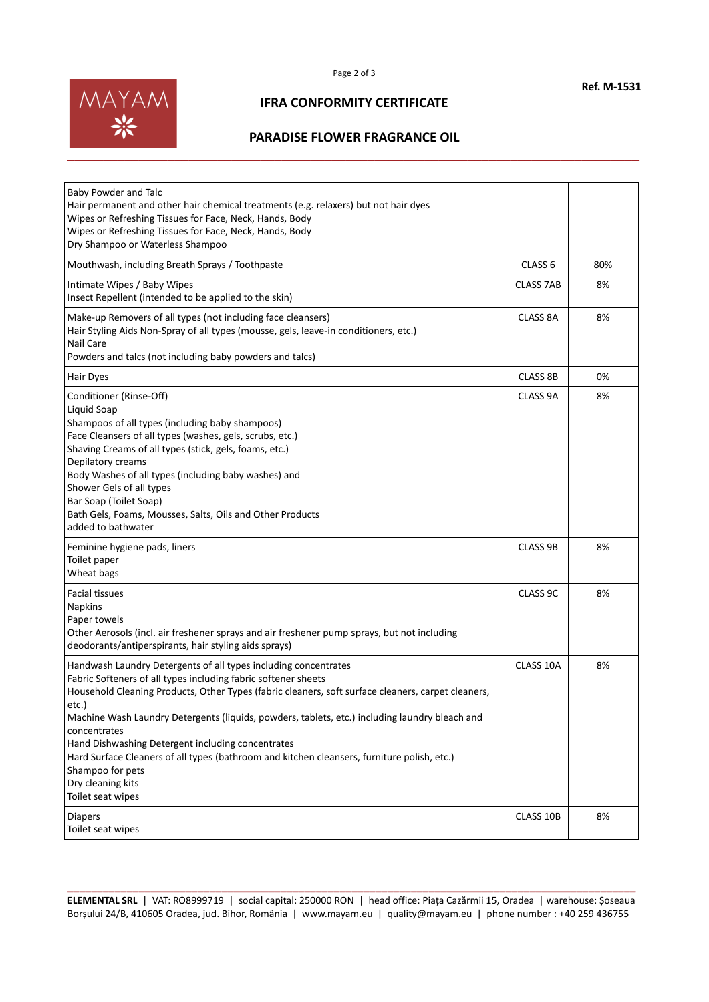

## **IFRA CONFORMITY CERTIFICATE**

# **PARADISE FLOWER FRAGRANCE OIL**

| Baby Powder and Talc<br>Hair permanent and other hair chemical treatments (e.g. relaxers) but not hair dyes<br>Wipes or Refreshing Tissues for Face, Neck, Hands, Body<br>Wipes or Refreshing Tissues for Face, Neck, Hands, Body<br>Dry Shampoo or Waterless Shampoo                                                                                                                                                                                                                                                                                                                |                    |     |
|--------------------------------------------------------------------------------------------------------------------------------------------------------------------------------------------------------------------------------------------------------------------------------------------------------------------------------------------------------------------------------------------------------------------------------------------------------------------------------------------------------------------------------------------------------------------------------------|--------------------|-----|
| Mouthwash, including Breath Sprays / Toothpaste                                                                                                                                                                                                                                                                                                                                                                                                                                                                                                                                      | CLASS <sub>6</sub> | 80% |
| Intimate Wipes / Baby Wipes<br>Insect Repellent (intended to be applied to the skin)                                                                                                                                                                                                                                                                                                                                                                                                                                                                                                 | <b>CLASS 7AB</b>   | 8%  |
| Make-up Removers of all types (not including face cleansers)<br>Hair Styling Aids Non-Spray of all types (mousse, gels, leave-in conditioners, etc.)<br><b>Nail Care</b><br>Powders and talcs (not including baby powders and talcs)                                                                                                                                                                                                                                                                                                                                                 | CLASS 8A           | 8%  |
| Hair Dyes                                                                                                                                                                                                                                                                                                                                                                                                                                                                                                                                                                            | <b>CLASS 8B</b>    | 0%  |
| Conditioner (Rinse-Off)<br>Liquid Soap<br>Shampoos of all types (including baby shampoos)<br>Face Cleansers of all types (washes, gels, scrubs, etc.)<br>Shaving Creams of all types (stick, gels, foams, etc.)<br>Depilatory creams<br>Body Washes of all types (including baby washes) and<br>Shower Gels of all types<br>Bar Soap (Toilet Soap)<br>Bath Gels, Foams, Mousses, Salts, Oils and Other Products<br>added to bathwater                                                                                                                                                | CLASS 9A           | 8%  |
| Feminine hygiene pads, liners<br>Toilet paper<br>Wheat bags                                                                                                                                                                                                                                                                                                                                                                                                                                                                                                                          | <b>CLASS 9B</b>    | 8%  |
| <b>Facial tissues</b><br><b>Napkins</b><br>Paper towels<br>Other Aerosols (incl. air freshener sprays and air freshener pump sprays, but not including<br>deodorants/antiperspirants, hair styling aids sprays)                                                                                                                                                                                                                                                                                                                                                                      | CLASS 9C           | 8%  |
| Handwash Laundry Detergents of all types including concentrates<br>Fabric Softeners of all types including fabric softener sheets<br>Household Cleaning Products, Other Types (fabric cleaners, soft surface cleaners, carpet cleaners,<br>etc.)<br>Machine Wash Laundry Detergents (liquids, powders, tablets, etc.) including laundry bleach and<br>concentrates<br>Hand Dishwashing Detergent including concentrates<br>Hard Surface Cleaners of all types (bathroom and kitchen cleansers, furniture polish, etc.)<br>Shampoo for pets<br>Dry cleaning kits<br>Toilet seat wipes | CLASS 10A          | 8%  |
| <b>Diapers</b><br>Toilet seat wipes                                                                                                                                                                                                                                                                                                                                                                                                                                                                                                                                                  | CLASS 10B          | 8%  |

**\_\_\_\_\_\_\_\_\_\_\_\_\_\_\_\_\_\_\_\_\_\_\_\_\_\_\_\_\_\_\_\_\_\_\_\_\_\_\_\_\_\_\_\_\_\_\_\_\_\_\_\_\_\_\_\_\_\_\_\_\_\_\_\_\_\_\_\_\_\_\_\_\_\_\_\_\_\_\_\_\_\_\_\_\_\_\_\_\_\_\_\_\_\_\_\_ ELEMENTAL SRL** | VAT: RO8999719 | social capital: 250000 RON | head office: Piața Cazărmii 15, Oradea | warehouse: Șoseaua Borșului 24/B, 410605 Oradea, jud. Bihor, România | www.mayam.eu | quality@mayam.eu | phone number : +40 259 436755